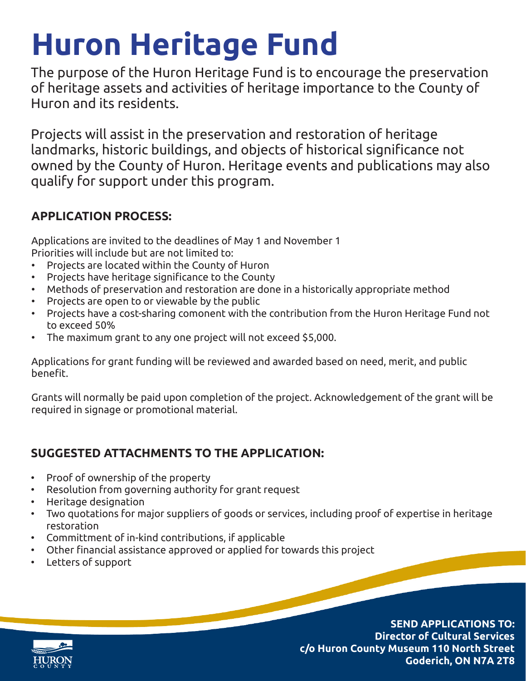## **Huron Heritage Fund**

The purpose of the Huron Heritage Fund is to encourage the preservation of heritage assets and activities of heritage importance to the County of Huron and its residents.

Projects will assist in the preservation and restoration of heritage landmarks, historic buildings, and objects of historical significance not owned by the County of Huron. Heritage events and publications may also qualify for support under this program.

## **APPLICATION PROCESS:**

Applications are invited to the deadlines of May 1 and November 1 Priorities will include but are not limited to:

- Projects are located within the County of Huron
- Projects have heritage significance to the County
- Methods of preservation and restoration are done in a historically appropriate method
- Projects are open to or viewable by the public
- Projects have a cost-sharing comonent with the contribution from the Huron Heritage Fund not to exceed 50%
- The maximum grant to any one project will not exceed \$5,000.

Applications for grant funding will be reviewed and awarded based on need, merit, and public benefit.

Grants will normally be paid upon completion of the project. Acknowledgement of the grant will be required in signage or promotional material.

## **SUGGESTED ATTACHMENTS TO THE APPLICATION:**

- Proof of ownership of the property
- Resolution from governing authority for grant request
- Heritage designation
- Two quotations for major suppliers of goods or services, including proof of expertise in heritage restoration
- Committment of in-kind contributions, if applicable
- Other financial assistance approved or applied for towards this project
- Letters of support

**SEND APPLICATIONS TO: Director of Cultural Services c/o Huron County Museum 110 North Street Goderich, ON N7A 2T8**